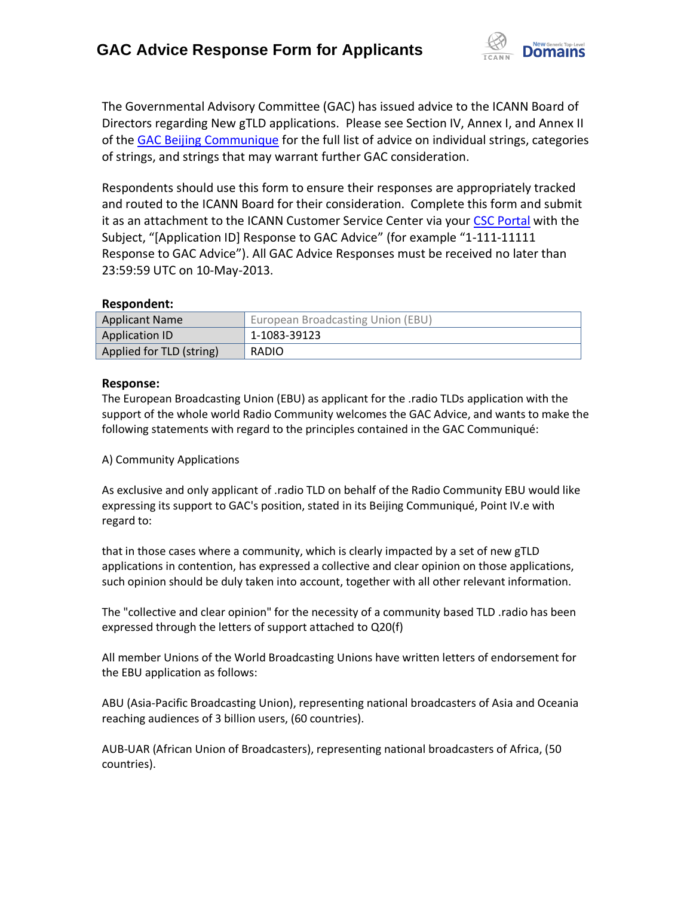

The Governmental Advisory Committee (GAC) has issued advice to the ICANN Board of Directors regarding New gTLD applications. Please see Section IV, Annex I, and Annex II of the [GAC Beijing Communique](http://www.icann.org/en/news/correspondence/gac-to-board-18apr13-en.pdf) for the full list of advice on individual strings, categories of strings, and strings that may warrant further GAC consideration.

Respondents should use this form to ensure their responses are appropriately tracked and routed to the ICANN Board for their consideration. Complete this form and submit it as an attachment to the ICANN Customer Service Center via your CSC [Portal](https://myicann.secure.force.com/) with the Subject, "[Application ID] Response to GAC Advice" (for example "1-111-11111 Response to GAC Advice"). All GAC Advice Responses must be received no later than 23:59:59 UTC on 10-May-2013.

#### **Respondent:**

| <b>Applicant Name</b>    | European Broadcasting Union (EBU) |
|--------------------------|-----------------------------------|
| Application ID           | 1-1083-39123                      |
| Applied for TLD (string) | RADIO                             |

### **Response:**

The European Broadcasting Union (EBU) as applicant for the .radio TLDs application with the support of the whole world Radio Community welcomes the GAC Advice, and wants to make the following statements with regard to the principles contained in the GAC Communiqué:

#### A) Community Applications

As exclusive and only applicant of .radio TLD on behalf of the Radio Community EBU would like expressing its support to GAC's position, stated in its Beijing Communiqué, Point IV.e with regard to:

that in those cases where a community, which is clearly impacted by a set of new gTLD applications in contention, has expressed a collective and clear opinion on those applications, such opinion should be duly taken into account, together with all other relevant information.

The "collective and clear opinion" for the necessity of a community based TLD .radio has been expressed through the letters of support attached to Q20(f)

All member Unions of the World Broadcasting Unions have written letters of endorsement for the EBU application as follows:

ABU (Asia-Pacific Broadcasting Union), representing national broadcasters of Asia and Oceania reaching audiences of 3 billion users, (60 countries).

AUB-UAR (African Union of Broadcasters), representing national broadcasters of Africa, (50 countries).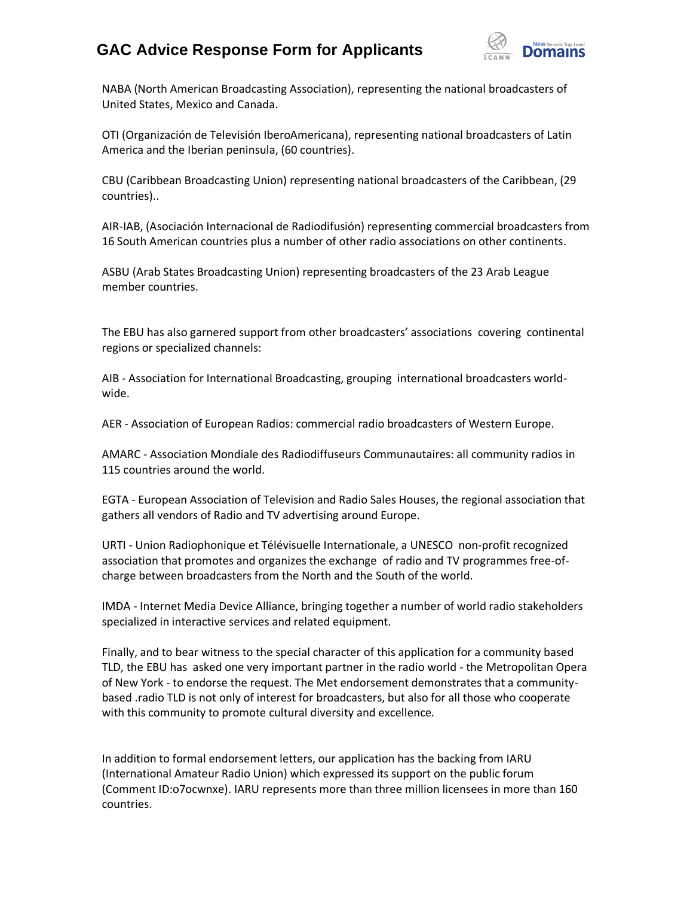## **GAC Advice Response Form for Applicants**



NABA (North American Broadcasting Association), representing the national broadcasters of United States, Mexico and Canada.

OTI (Organización de Televisión IberoAmericana), representing national broadcasters of Latin America and the Iberian peninsula, (60 countries).

CBU (Caribbean Broadcasting Union) representing national broadcasters of the Caribbean, (29 countries)..

AIR-IAB, (Asociación Internacional de Radiodifusión) representing commercial broadcasters from 16 South American countries plus a number of other radio associations on other continents.

ASBU (Arab States Broadcasting Union) representing broadcasters of the 23 Arab League member countries.

The EBU has also garnered support from other broadcasters' associations covering continental regions or specialized channels:

AIB - Association for International Broadcasting, grouping international broadcasters worldwide.

AER - Association of European Radios: commercial radio broadcasters of Western Europe.

AMARC - Association Mondiale des Radiodiffuseurs Communautaires: all community radios in 115 countries around the world.

EGTA - European Association of Television and Radio Sales Houses, the regional association that gathers all vendors of Radio and TV advertising around Europe.

URTI - Union Radiophonique et Télévisuelle Internationale, a UNESCO non-profit recognized association that promotes and organizes the exchange of radio and TV programmes free-ofcharge between broadcasters from the North and the South of the world.

IMDA - Internet Media Device Alliance, bringing together a number of world radio stakeholders specialized in interactive services and related equipment.

Finally, and to bear witness to the special character of this application for a community based TLD, the EBU has asked one very important partner in the radio world - the Metropolitan Opera of New York - to endorse the request. The Met endorsement demonstrates that a communitybased .radio TLD is not only of interest for broadcasters, but also for all those who cooperate with this community to promote cultural diversity and excellence.

In addition to formal endorsement letters, our application has the backing from IARU (International Amateur Radio Union) which expressed its support on the public forum (Comment ID:o7ocwnxe). IARU represents more than three million licensees in more than 160 countries.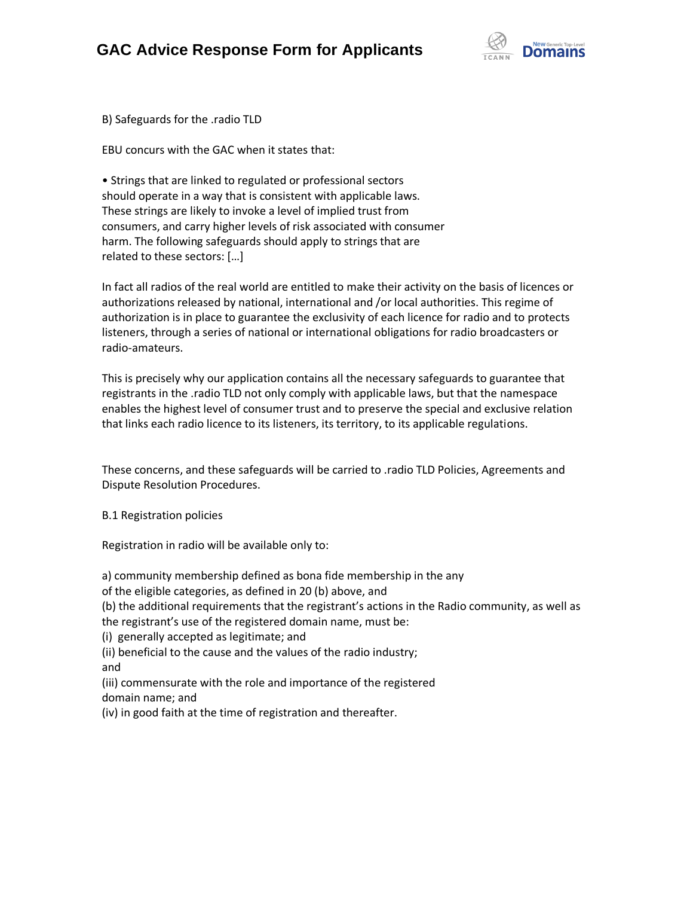

B) Safeguards for the .radio TLD

EBU concurs with the GAC when it states that:

• Strings that are linked to regulated or professional sectors should operate in a way that is consistent with applicable laws. These strings are likely to invoke a level of implied trust from consumers, and carry higher levels of risk associated with consumer harm. The following safeguards should apply to strings that are related to these sectors: […]

In fact all radios of the real world are entitled to make their activity on the basis of licences or authorizations released by national, international and /or local authorities. This regime of authorization is in place to guarantee the exclusivity of each licence for radio and to protects listeners, through a series of national or international obligations for radio broadcasters or radio-amateurs.

This is precisely why our application contains all the necessary safeguards to guarantee that registrants in the .radio TLD not only comply with applicable laws, but that the namespace enables the highest level of consumer trust and to preserve the special and exclusive relation that links each radio licence to its listeners, its territory, to its applicable regulations.

These concerns, and these safeguards will be carried to .radio TLD Policies, Agreements and Dispute Resolution Procedures.

B.1 Registration policies

Registration in radio will be available only to:

a) community membership defined as bona fide membership in the any

of the eligible categories, as defined in 20 (b) above, and

(b) the additional requirements that the registrant's actions in the Radio community, as well as

the registrant's use of the registered domain name, must be:

(i) generally accepted as legitimate; and

(ii) beneficial to the cause and the values of the radio industry; and

(iii) commensurate with the role and importance of the registered domain name; and

(iv) in good faith at the time of registration and thereafter.